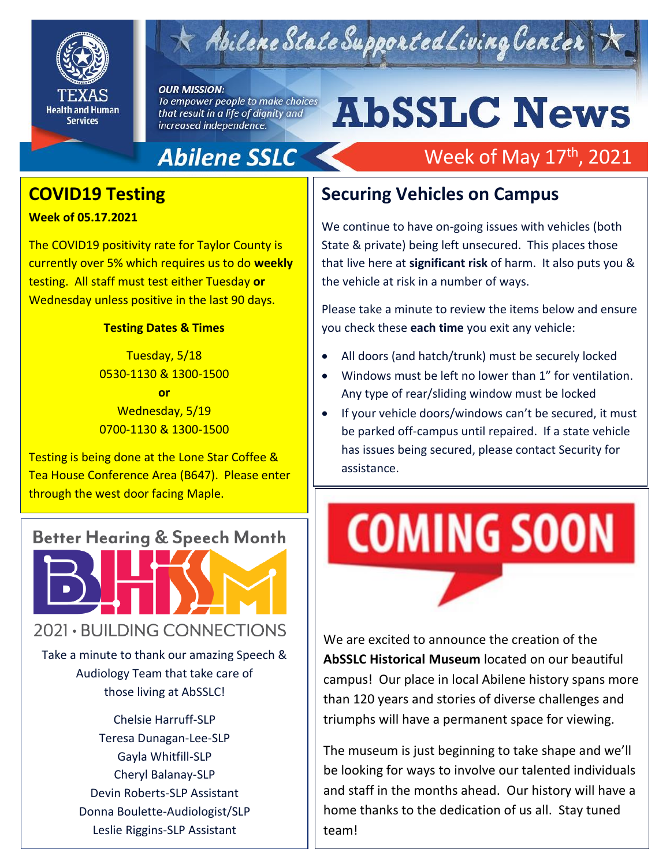

# Abilene State Supported Living Center

#### **OUR MISSION:**

To empower people to make choices that result in a life of dignity and increased independence.

# **AbSSLC News**

Week of May 17<sup>th</sup>, 2021

#### **Abilene SSLC**

#### **COVID19 Testing**

**Week of 05.17.2021**

The COVID19 positivity rate for Taylor County is currently over 5% which requires us to do **weekly** testing. All staff must test either Tuesday **or** Wednesday unless positive in the last 90 days.

#### **Testing Dates & Times**

Tuesday, 5/18 0530-1130 & 1300-1500 **or** Wednesday, 5/19 0700-1130 & 1300-1500

Testing is being done at the Lone Star Coffee & Tea House Conference Area (B647). Please enter through the west door facing Maple.



those living at AbSSLC!

Chelsie Harruff-SLP Teresa Dunagan-Lee-SLP Gayla Whitfill-SLP Cheryl Balanay-SLP Devin Roberts-SLP Assistant Donna Boulette-Audiologist/SLP Leslie Riggins-SLP Assistant

#### **Securing Vehicles on Campus**

We continue to have on-going issues with vehicles (both State & private) being left unsecured. This places those that live here at **significant risk** of harm. It also puts you & the vehicle at risk in a number of ways.

Please take a minute to review the items below and ensure you check these **each time** you exit any vehicle:

- All doors (and hatch/trunk) must be securely locked
- Windows must be left no lower than 1" for ventilation. Any type of rear/sliding window must be locked
- be parked off-campus until repaired. If a state vehicle If your vehicle doors/windows can't be secured, it must has issues being secured, please contact Security for assistance.

# **COMING SOON**

We are excited to announce the creation of the **AbSSLC Historical Museum** located on our beautiful campus! Our place in local Abilene history spans more than 120 years and stories of diverse challenges and triumphs will have a permanent space for viewing.

The museum is just beginning to take shape and we'll be looking for ways to involve our talented individuals and staff in the months ahead. Our history will have a home thanks to the dedication of us all. Stay tuned team!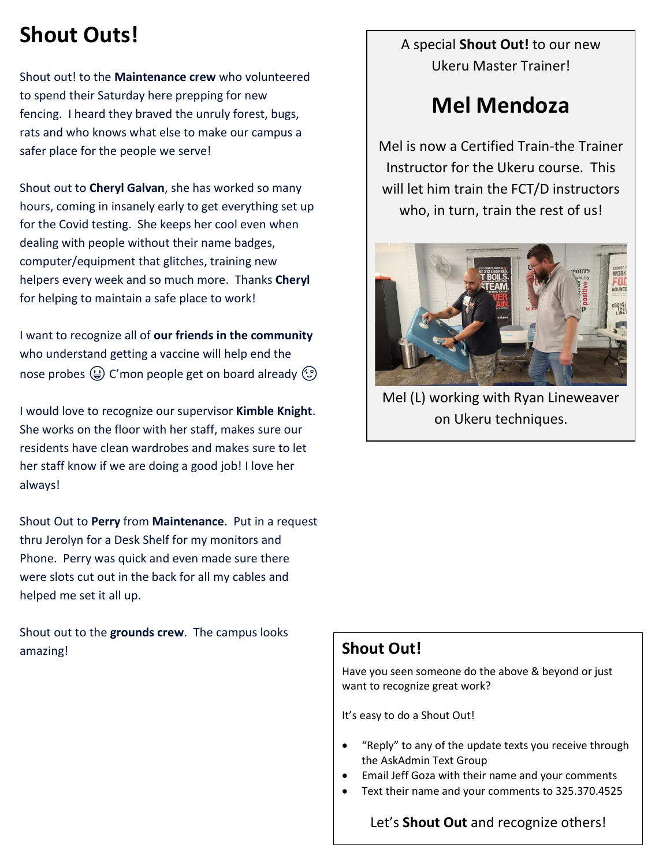### **Shout Outs!**

Shout out! to the **Maintenance crew** who volunteered to spend their Saturday here prepping for new fencing. I heard they braved the unruly forest, bugs, rats and who knows what else to make our campus a safer place for the people we serve!

Shout out to **Cheryl Galvan**, she has worked so many hours, coming in insanely early to get everything set up for the Covid testing. She keeps her cool even when dealing with people without their name badges, computer/equipment that glitches, training new helpers every week and so much more. Thanks **Cheryl** for helping to maintain a safe place to work!

I want to recognize all of **our friends in the community** who understand getting a vaccine will help end the nose probes  $\bigoplus$  C'mon people get on board already  $\bigodot$ 

I would love to recognize our supervisor **Kimble Knight**. She works on the floor with her staff, makes sure our residents have clean wardrobes and makes sure to let her staff know if we are doing a good job! I love her always!

Shout Out to **Perry** from **Maintenance**. Put in a request thru Jerolyn for a Desk Shelf for my monitors and Phone. Perry was quick and even made sure there were slots cut out in the back for all my cables and helped me set it all up.

Shout out to the **grounds crew**. The campus looks amazing! **Shout Out!** 

A special **Shout Out!** to our new Ukeru Master Trainer!

#### **Mel Mendoza**

Mel is now a Certified Train-the Trainer Instructor for the Ukeru course. This will let him train the FCT/D instructors who, in turn, train the rest of us!



Mel (L) working with Ryan Lineweaver on Ukeru techniques.

Have you seen someone do the above & beyond or just want to recognize great work?

It's easy to do a Shout Out!

- "Reply" to any of the update texts you receive through the AskAdmin Text Group
- Email Jeff Goza with their name and your comments
- Text their name and your comments to 325.370.4525

Let's **Shout Out** and recognize others!